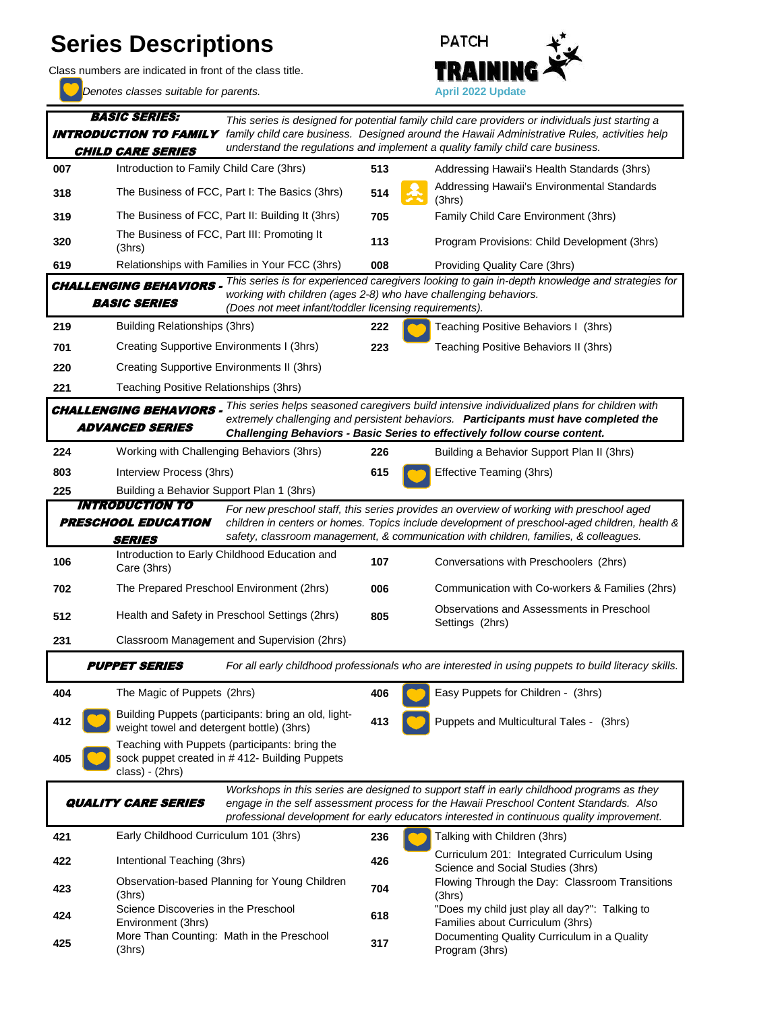## **Series Descriptions**

Class numbers are indicated in front of the class title.

*Denotes classes suitable for parents.* **<b>April 2022 Update April 2022 Update** 

(3hrs)



**007 Introduction to Family Child Care (3hrs) 513** Addressing Hawaii's Health Standards (3hrs) **318 514** The Business of FCC, Part I: The Basics (3hrs) **514** Addressing Hawaii's Environmental Standards (3hrs) **319** The Business of FCC, Part II: Building It (3hrs) **705** Family Child Care Environment (3hrs) **320 113** Program Provisions: Child Development (3hrs) **619 008** Providing Quality Care (3hrs) Relationships with Families in Your FCC (3hrs) **219 222** Teaching Positive Behaviors I (3hrs) **222** Teaching Positive Behaviors I (3hrs) **701 223** Teaching Positive Behaviors II (3hrs) Creating Supportive Environments I (3hrs) **220 221 224 226** Building a Behavior Support Plan II (3hrs) Working with Challenging Behaviors (3hrs) **803 Interview Process (3hrs) 615 615 Effective Teaming (3hrs) 225 106 107** Conversations with Preschoolers (2hrs) **702 The Prepared Preschool Environment (2hrs) 006** Communication with Co-workers & Families (2hrs) **512 Bullets** Health and Safety in Preschool Settings (2hrs) **805** Observations and Assessments in Preschool Continued and Assessments in Preschool Settings (2hrs) **231 404 406 Easy Puppets for Children - (3hrs) 406 Conserversion Easy Puppets for Children - (3hrs) 412 and the state of the state of the state of the state of the state of the state of the state of the state of the state of the state of the state of the state of the state of the state of the state of the state of the 405 421 236** Talking with Children (3hrs) Early Childhood Curriculum 101 (3hrs) **422** Intentional Teaching (3hrs) **426** Curriculum 201: Integrated Curriculum Using Science and Social Studies (3hrs) **423 23** *Planning for Young Children* **704** *Flowing Through the Day: Classroom Transitions* (3hrs) **424 618** Science Discoveries in the Preschool **618 618 618 618 618 618 618 618 618 618 618 618 618 618 618 618 618 618 618 618 618 618 618 618 618 618 618 618 618** Families about Curriculum (3hrs) **425** More Than Counting: Math in the Preschool **317** Documenting Quality Curriculum in a Quality The Prepared Preschool Environment (2hrs) Creating Supportive Environments II (3hrs) Building Puppets (participants: bring an old, lightweight towel and detergent bottle) (3hrs) *For all early childhood professionals who are interested in using puppets to build literacy skills.* CHALLENGING BEHAVIORS - <sup>This series helps seasoned caregivers build intensive individualized plans for children with</sup> ADVANCED SERIES *extremely challenging and persistent behaviors. Participants must have completed the Challenging Behaviors - Basic Series to effectively follow course content.* Introduction to Early Childhood Education and Care (3hrs) Building a Behavior Support Plan 1 (3hrs) INTRODUCTION TO PRESCHOOL EDUCATION SERIES *For new preschool staff, this series provides an overview of working with preschool aged children in centers or homes. Topics include development of preschool-aged children, health & safety, classroom management, & communication with children, families, & colleagues.* Classroom Management and Supervision (2hrs) PUPPET SERIES The Magic of Puppets (2hrs) Interview Process (3hrs) QUALITY CARE SERIES Observation-based Planning for Young Children (3hrs) More Than Counting: Math in the Preschool *Workshops in this series are designed to support staff in early childhood programs as they engage in the self assessment process for the Hawaii Preschool Content Standards. Also professional development for early educators interested in continuous quality improvement.* Intentional Teaching (3hrs) Science Discoveries in the Preschool Environment (3hrs) *This series is designed for potential family child care providers or individuals just starting a family child care business. Designed around the Hawaii Administrative Rules, activities help understand the regulations and implement a quality family child care business.* BASIC SERIES: INTRODUCTION TO FAMILY CHILD CARE SERIES CHALLENGING BEHAVIORS - <sup>This</sup> series is for experienced caregivers looking to gain in-depth knowledge and strategies for BASIC SERIES *working with children (ages 2-8) who have challenging behaviors. (Does not meet infant/toddler licensing requirements).* Introduction to Family Child Care (3hrs) The Business of FCC, Part I: The Basics (3hrs) The Business of FCC, Part III: Promoting It (3hrs) Teaching Positive Relationships (3hrs) Building Relationships (3hrs) Teaching with Puppets (participants: bring the sock puppet created in #412- Building Puppets class) - (2hrs)

Program (3hrs)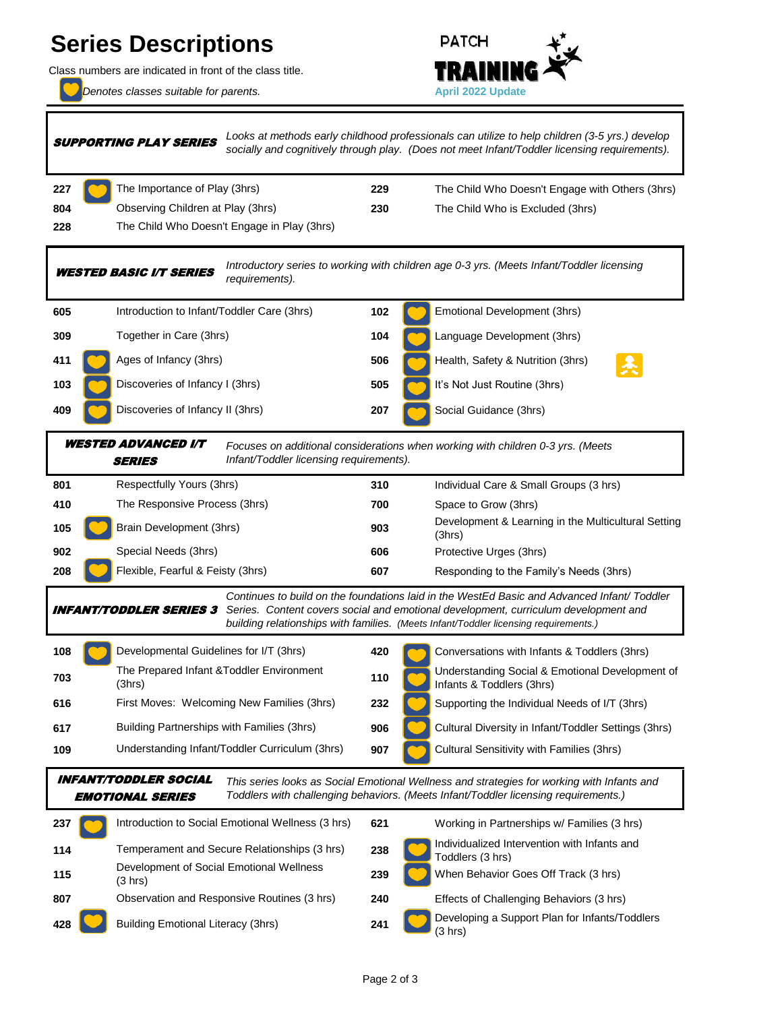## **Series Descriptions**

Class numbers are indicated in front of the class title.

*Denotes classes suitable for parents.* **<b>April 2022 Update April 2022 Update** 



**227** The Importance of Play (3hrs) **229** The Child Who Doesn't Engage with Others (3hrs) **804 230 230 230 230 Zhendom** is Excluded (3hrs) **228 605 102** Introduction to Infant/Toddler Care (3hrs) **309 104 104 Language Development (3hrs) 104 104 Language Development (3hrs) 411 C** Ages of Infancy (3hrs) **506** Health, Safety & Nutrition (3hrs) **103 CO** Discoveries of Infancy I (3hrs) **505 606** It's Not Just Routine (3hrs) **409 CO** Discoveries of Infancy II (3hrs) **207 207** Social Guidance (3hrs) **801 310** Individual Care & Small Groups (3 hrs) **410 700** Space to Grow (3hrs) The Responsive Process (3hrs) **105 CO** Brain Development (3hrs) **903** Development & Learning in the Multicultural Setting (3hrs) **902 606** Protective Urges (3hrs) **208 607 607 608** Responding to the Family's Needs (3hrs) **607 607** Responding to the Family's Needs (3hrs) **108 108** Developmental Guidelines for I/T (3hrs) **420 420** Conversations with Infants & Toddlers (3hrs) **703 110** The Prepared Infant & Toddler Environment **110 110** Understanding Social & Emotional Development of Infants & Toddlers (3hrs) **616 232 232 232** Supporting the Individual Needs of I/T (3hrs) **236 232 232** Supporting the Individual Needs of I/T (3hrs) **617 906** Cultural Diversity in Infant/Toddler Settings (3hrs) **109 109** Understanding Infant/Toddler Curriculum (3hrs) **907** Cultural Sensitivity with Families (3hrs) **237 621** Introduction to Social Emotional Wellness (3 hrs) 621 Working in Partnerships w/ Families (3 hrs) **114 114 114 114 Individualized Intervention with Infants and <b>114 Individualized Intervention with Infants and** Toddlers (3 hrs) **115 239** When Behavior Goes Off Track (3 hrs) **807 240** Effects of Challenging Behaviors (3 hrs) Observation and Responsive Routines (3 hrs) Building Partnerships with Families (3hrs) Understanding Infant/Toddler Curriculum (3hrs) SUPPORTING PLAY SERIES The Prepared Infant &Toddler Environment (3hrs) Developmental Guidelines for I/T (3hrs) INFANT/TODDLER SERIES 3 *Continues to build on the foundations laid in the WestEd Basic and Advanced Infant/ Toddler Series. Content covers social and emotional development, curriculum development and building relationships with families. (Meets Infant/Toddler licensing requirements.)* Flexible, Fearful & Feisty (3hrs) The Child Who Doesn't Engage in Play (3hrs) *Looks at methods early childhood professionals can utilize to help children (3-5 yrs.) develop socially and cognitively through play. (Does not meet Infant/Toddler licensing requirements).* Special Needs (3hrs) Brain Development (3hrs) Together in Care (3hrs) *Focuses on additional considerations when working with children 0-3 yrs. (Meets Infant/Toddler licensing requirements).* Ages of Infancy (3hrs) The Importance of Play (3hrs) Observing Children at Play (3hrs) INFANT/TODDLER SOCIAL EMOTIONAL SERIES *This series looks as Social Emotional Wellness and strategies for working with Infants and Toddlers with challenging behaviors. (Meets Infant/Toddler licensing requirements.)* Development of Social Emotional Wellness (3 hrs) Emotional Development (3hrs) *Introductory series to working with children age 0-3 yrs. (Meets Infant/Toddler licensing*  **WESTED BASIC I/T SERIES** *requirements*). Respectfully Yours (3hrs) WESTED ADVANCED I/T **SERIES** 

(3 hrs)

**428 241 241** Developing a Support Plan for Infants/Toddlers

Building Emotional Literacy (3hrs)